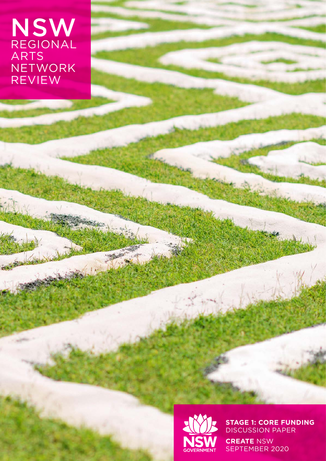# **NSW** REGIONAL ARTS NETWORK REVIEW



**STAGE 1: CORE FUNDING**  DISCUSSION PAPER **CREATE** NSW SEPTEMBER 2020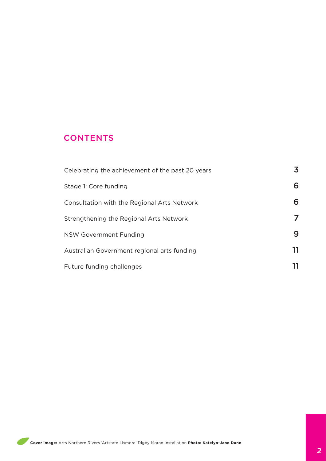# **CONTENTS**

| Celebrating the achievement of the past 20 years | 3  |
|--------------------------------------------------|----|
| Stage 1: Core funding                            | 6  |
| Consultation with the Regional Arts Network      | 6  |
| Strengthening the Regional Arts Network          | 7  |
| <b>NSW Government Funding</b>                    | 9  |
| Australian Government regional arts funding      | 11 |
| Future funding challenges                        |    |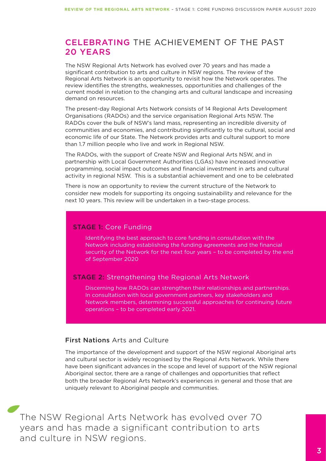### <span id="page-2-0"></span>CELEBRATING THE ACHIEVEMENT OF THE PAST 20 YEARS

The NSW Regional Arts Network has evolved over 70 years and has made a significant contribution to arts and culture in NSW regions. The review of the Regional Arts Network is an opportunity to revisit how the Network operates. The review identifies the strengths, weaknesses, opportunities and challenges of the current model in relation to the changing arts and cultural landscape and increasing demand on resources.

The present-day Regional Arts Network consists of 14 Regional Arts Development Organisations (RADOs) and the service organisation Regional Arts NSW. The RADOs cover the bulk of NSW's land mass, representing an incredible diversity of communities and economies, and contributing significantly to the cultural, social and economic life of our State. The Network provides arts and cultural support to more than 1.7 million people who live and work in Regional NSW.

The RADOs, with the support of Create NSW and Regional Arts NSW, and in partnership with Local Government Authorities (LGAs) have increased innovative programming, social impact outcomes and financial investment in arts and cultural activity in regional NSW. This is a substantial achievement and one to be celebrated

There is now an opportunity to review the current structure of the Network to consider new models for supporting its ongoing sustainability and relevance for the next 10 years. This review will be undertaken in a two-stage process.

#### STAGE 1: Core Funding

Identifying the best approach to core funding in consultation with the Network including establishing the funding agreements and the financial security of the Network for the next four years – to be completed by the end of September 2020

#### STAGE 2: Strengthening the Regional Arts Network

Discerning how RADOs can strengthen their relationships and partnerships. In consultation with local government partners, key stakeholders and Network members, determining successful approaches for continuing future operations – to be completed early 2021.

### First Nations Arts and Culture

The importance of the development and support of the NSW regional Aboriginal arts and cultural sector is widely recognised by the Regional Arts Network. While there have been significant advances in the scope and level of support of the NSW regional Aboriginal sector, there are a range of challenges and opportunities that reflect both the broader Regional Arts Network's experiences in general and those that are uniquely relevant to Aboriginal people and communities.

The NSW Regional Arts Network has evolved over 70 years and has made a significant contribution to arts and culture in NSW regions.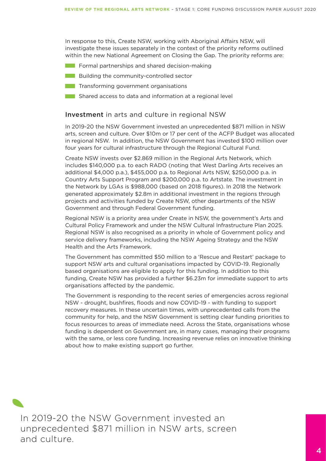In response to this, Create NSW, working with Aboriginal Affairs NSW, will investigate these issues separately in the context of the priority reforms outlined within the new National Agreement on Closing the Gap. The priority reforms are:

- **Formal partnerships and shared decision-making**
- **Building the community-controlled sector**
- **The Transforming government organisations**
- **Shared access to data and information at a regional level**

#### Investment in arts and culture in regional NSW

In 2019-20 the NSW Government invested an unprecedented \$871 million in NSW arts, screen and culture. Over \$10m or 17 per cent of the ACFP Budget was allocated in regional NSW. In addition, the NSW Government has invested \$100 million over four years for cultural infrastructure through the Regional Cultural Fund.

Create NSW invests over \$2.869 million in the Regional Arts Network, which includes \$140,000 p.a. to each RADO (noting that West Darling Arts receives an additional \$4,000 p.a.), \$455,000 p.a. to Regional Arts NSW, \$250,000 p.a. in Country Arts Support Program and \$200,000 p.a. to Artstate. The investment in the Network by LGAs is \$988,000 (based on 2018 figures). In 2018 the Network generated approximately \$2.8m in additional investment in the regions through projects and activities funded by Create NSW, other departments of the NSW Government and through Federal Government funding.

Regional NSW is a priority area under Create in NSW, the government's Arts and Cultural Policy Framework and under the NSW Cultural Infrastructure Plan 2025. Regional NSW is also recognised as a priority in whole of Government policy and service delivery frameworks, including the NSW Ageing Strategy and the NSW Health and the Arts Framework.

The Government has committed \$50 million to a 'Rescue and Restart' package to support NSW arts and cultural organisations impacted by COVID-19. Regionally based organisations are eligible to apply for this funding. In addition to this funding, Create NSW has provided a further \$6.23m for immediate support to arts organisations affected by the pandemic.

The Government is responding to the recent series of emergencies across regional NSW - drought, bushfires, floods and now COVID-19 - with funding to support recovery measures. In these uncertain times, with unprecedented calls from the community for help, and the NSW Government is setting clear funding priorities to focus resources to areas of immediate need. Across the State, organisations whose funding is dependent on Government are, in many cases, managing their programs with the same, or less core funding. Increasing revenue relies on innovative thinking about how to make existing support go further.

In 2019-20 the NSW Government invested an unprecedented \$871 million in NSW arts, screen and culture.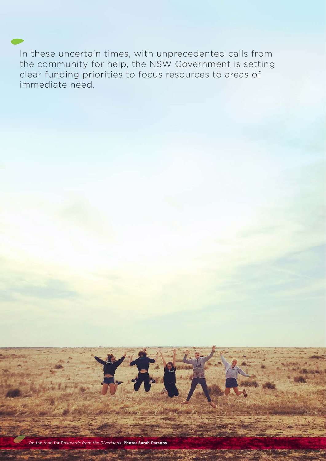In these uncertain times, with unprecedented calls from the community for help, the NSW Government is setting clear funding priorities to focus resources to areas of immediate need.

On the road for P*ostcards from the Riverlands*. **Photo: Sarah Parsons**

5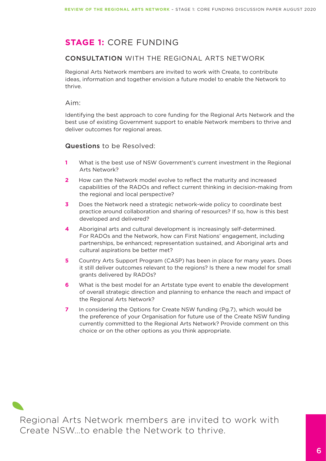# <span id="page-5-0"></span>**STAGE 1:** CORE FUNDING

### <span id="page-5-1"></span>CONSULTATION WITH THE REGIONAL ARTS NETWORK

Regional Arts Network members are invited to work with Create, to contribute ideas, information and together envision a future model to enable the Network to thrive.

Aim:

Identifying the best approach to core funding for the Regional Arts Network and the best use of existing Government support to enable Network members to thrive and deliver outcomes for regional areas.

### Questions to be Resolved:

- **1** What is the best use of NSW Government's current investment in the Regional Arts Network?
- **2** How can the Network model evolve to reflect the maturity and increased capabilities of the RADOs and reflect current thinking in decision-making from the regional and local perspective?
- **3** Does the Network need a strategic network-wide policy to coordinate best practice around collaboration and sharing of resources? If so, how is this best developed and delivered?
- **4** Aboriginal arts and cultural development is increasingly self-determined. For RADOs and the Network, how can First Nations' engagement, including partnerships, be enhanced; representation sustained, and Aboriginal arts and cultural aspirations be better met?
- **5** Country Arts Support Program (CASP) has been in place for many years. Does it still deliver outcomes relevant to the regions? Is there a new model for small grants delivered by RADOs?
- **6** What is the best model for an Artstate type event to enable the development of overall strategic direction and planning to enhance the reach and impact of the Regional Arts Network?
- **7** In considering the Options for Create NSW funding (Pg.7), which would be the preference of your Organisation for future use of the Create NSW funding currently committed to the Regional Arts Network? Provide comment on this choice or on the other options as you think appropriate.

Regional Arts Network members are invited to work with Create NSW…to enable the Network to thrive.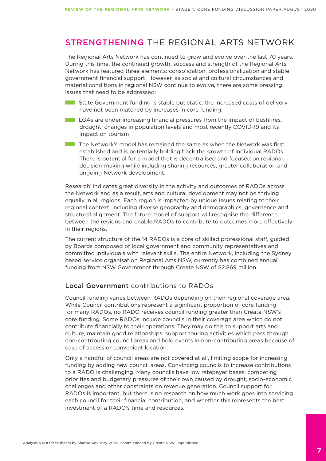# <span id="page-6-0"></span>STRENGTHENING THE REGIONAL ARTS NETWORK

The Regional Arts Network has continued to grow and evolve over the last 70 years. During this time, the continued growth, success and strength of the Regional Arts Network has featured three elements: consolidation, professionalization and stable government financial support. However, as social and cultural circumstances and material conditions in regional NSW continue to evolve, there are some pressing issues that need to be addressed:

**State Government funding is stable but static: the increased costs of delivery** have not been matched by increases in core funding.

**LGAs are under increasing financial pressures from the impact of bushfires,** drought, changes in population levels and most recently COVID-19 and its impact on tourism

The Network's model has remained the same as when the Network was first established and is potentially holding back the growth of individual RADOs. There is potential for a model that is decentralised and focused on regional decision-making while including sharing resources, greater collaboration and ongoing Network development.

Research<sup>1</sup> indicates great diversity in the activity and outcomes of RADOs across the Network and as a result, arts and cultural development may not be thriving equally in all regions. Each region is impacted by unique issues relating to their regional context, including diverse geography and demographics, governance and structural alignment. The future model of support will recognise the difference between the regions and enable RADOs to contribute to outcomes more effectively in their regions.

The current structure of the 14 RADOs is a core of skilled professional staff, guided by Boards composed of local government and community representatives and committed individuals with relevant skills. The entire Network, including the Sydney based service organisation Regional Arts NSW, currently has combined annual funding from NSW Government through Create NSW of \$2.869 million.

### Local Government contributions to RADOs

Council funding varies between RADOs depending on their regional coverage area. While Council contributions represent a significant proportion of core funding for many RADOs, no RADO receives council funding greater than Create NSW's core funding. Some RADOs include councils in their coverage area which do not contribute financially to their operations. They may do this to support arts and culture, maintain good relationships, support touring activities which pass through non-contributing council areas and hold events in non-contributing areas because of ease of access or convenient location.

Only a handful of council areas are not covered at all, limiting scope for increasing funding by adding new council areas. Convincing councils to increase contributions to a RADO is challenging. Many councils have low ratepayer bases, competing priorities and budgetary pressures of their own caused by drought, socio-economic challenges and other constraints on revenue generation. Council support for RADOs is important, but there is no research on how much work goes into servicing each council for their financial contribution, and whether this represents the best investment of a RADO's time and resources.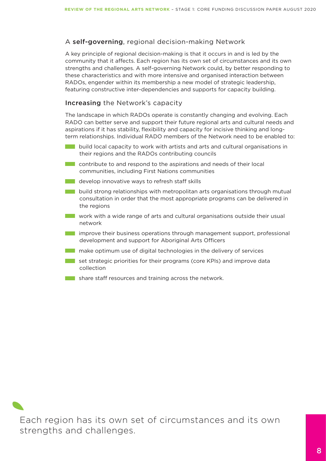### A self-governing, regional decision-making Network

A key principle of regional decision-making is that it occurs in and is led by the community that it affects. Each region has its own set of circumstances and its own strengths and challenges. A self-governing Network could, by better responding to these characteristics and with more intensive and organised interaction between RADOs, engender within its membership a new model of strategic leadership, featuring constructive inter-dependencies and supports for capacity building.

### Increasing the Network's capacity

The landscape in which RADOs operate is constantly changing and evolving. Each RADO can better serve and support their future regional arts and cultural needs and aspirations if it has stability, flexibility and capacity for incisive thinking and longterm relationships. Individual RADO members of the Network need to be enabled to:

- **build local capacity to work with artists and arts and cultural organisations in** their regions and the RADOs contributing councils
- contribute to and respond to the aspirations and needs of their local communities, including First Nations communities
- **DEE** develop innovative ways to refresh staff skills
- **build strong relationships with metropolitan arts organisations through mutual** consultation in order that the most appropriate programs can be delivered in the regions
- work with a wide range of arts and cultural organisations outside their usual network
- **improve their business operations through management support, professional** development and support for Aboriginal Arts Officers
- **The make optimum use of digital technologies in the delivery of services**
- set strategic priorities for their programs (core KPIs) and improve data collection
- share staff resources and training across the network.

Each region has its own set of circumstances and its own strengths and challenges.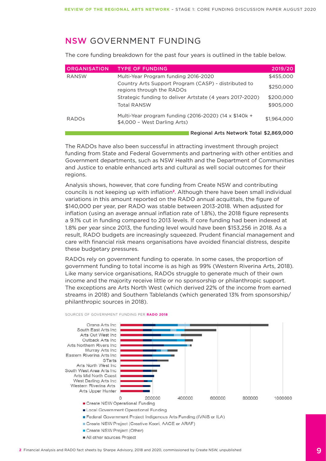# <span id="page-8-0"></span>NSW GOVERNMENT FUNDING

The core funding breakdown for the past four years is outlined in the table below.

| <b>ORGANISATION</b> | <b>TYPE OF FUNDING</b>                                                                | 2019/20     |
|---------------------|---------------------------------------------------------------------------------------|-------------|
| <b>RANSW</b>        | Multi-Year Program funding 2016-2020                                                  | \$455,000   |
|                     | Country Arts Support Program (CASP) - distributed to<br>regions through the RADOs     | \$250,000   |
|                     | Strategic funding to deliver Artstate (4 years 2017-2020)                             | \$200,000   |
|                     | <b>Total RANSW</b>                                                                    | \$905,000   |
| <b>RADOS</b>        | Multi-Year program funding (2016-2020) (14 x \$140k +<br>\$4,000 - West Darling Arts) | \$1,964,000 |
|                     | Regional Arts Network Total \$2,869,000                                               |             |

The RADOs have also been successful in attracting investment through project funding from State and Federal Governments and partnering with other entities and Government departments, such as NSW Health and the Department of Communities and Justice to enable enhanced arts and cultural as well social outcomes for their regions.

Analysis shows, however, that core funding from Create NSW and contributing councils is not keeping up with inflation**2**. Although there have been small individual variations in this amount reported on the RADO annual acquittals, the figure of \$140,000 per year, per RADO was stable between 2013-2018. When adjusted for inflation (using an average annual inflation rate of 1.8%), the 2018 figure represents a 9.1% cut in funding compared to 2013 levels. If core funding had been indexed at 1.8% per year since 2013, the funding level would have been \$153,256 in 2018. As a result, RADO budgets are increasingly squeezed. Prudent financial management and care with financial risk means organisations have avoided financial distress, despite these budgetary pressures.

RADOs rely on government funding to operate. In some cases, the proportion of government funding to total income is as high as 99% (Western Riverina Arts, 2018). Like many service organisations, RADOs struggle to generate much of their own income and the majority receive little or no sponsorship or philanthropic support. The exceptions are Arts North West (which derived 22% of the income from earned streams in 2018) and Southern Tablelands (which generated 13% from sponsorship/ philanthropic sources in 2018).



#### SOURCES OF GOVERNMENT FUNDING PER **RADO 2018**

All other sources Project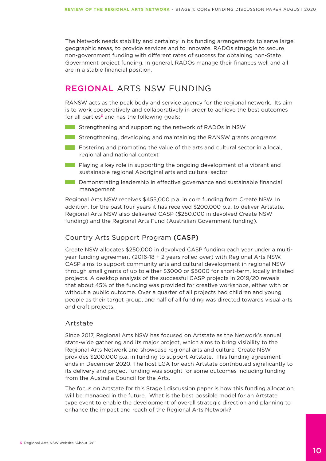The Network needs stability and certainty in its funding arrangements to serve large geographic areas, to provide services and to innovate. RADOs struggle to secure non-government funding with different rates of success for obtaining non-State Government project funding. In general, RADOs manage their finances well and all are in a stable financial position.

### REGIONAL ARTS NSW FUNDING

RANSW acts as the peak body and service agency for the regional network. Its aim is to work cooperatively and collaboratively in order to achieve the best outcomes for all parties**<sup>3</sup>** and has the following goals:

- **Strengthening and supporting the network of RADOs in NSW**
- **Strengthening, developing and maintaining the RANSW grants programs**
- **Follow** Fostering and promoting the value of the arts and cultural sector in a local, regional and national context
- **Playing a key role in supporting the ongoing development of a vibrant and** sustainable regional Aboriginal arts and cultural sector
- Demonstrating leadership in effective governance and sustainable financial management

Regional Arts NSW receives \$455,000 p.a. in core funding from Create NSW. In addition, for the past four years it has received \$200,000 p.a. to deliver Artstate. Regional Arts NSW also delivered CASP (\$250,000 in devolved Create NSW funding) and the Regional Arts Fund (Australian Government funding).

#### Country Arts Support Program (CASP)

Create NSW allocates \$250,000 in devolved CASP funding each year under a multiyear funding agreement (2016-18 + 2 years rolled over) with Regional Arts NSW. CASP aims to support community arts and cultural development in regional NSW through small grants of up to either \$3000 or \$5000 for short-term, locally initiated projects. A desktop analysis of the successful CASP projects in 2019/20 reveals that about 45% of the funding was provided for creative workshops, either with or without a public outcome. Over a quarter of all projects had children and young people as their target group, and half of all funding was directed towards visual arts and craft projects.

#### Artstate

Since 2017, Regional Arts NSW has focused on Artstate as the Network's annual state-wide gathering and its major project, which aims to bring visibility to the Regional Arts Network and showcase regional arts and culture. Create NSW provides \$200,000 p.a. in funding to support Artstate. This funding agreement ends in December 2020. The host LGA for each Artstate contributed significantly to its delivery and project funding was sought for some outcomes including funding from the Australia Council for the Arts.

The focus on Artstate for this Stage 1 discussion paper is how this funding allocation will be managed in the future. What is the best possible model for an Artstate type event to enable the development of overall strategic direction and planning to enhance the impact and reach of the Regional Arts Network?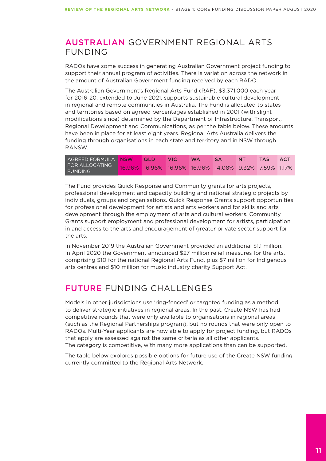### <span id="page-10-0"></span>AUSTRALIAN GOVERNMENT REGIONAL ARTS FUNDING

RADOs have some success in generating Australian Government project funding to support their annual program of activities. There is variation across the network in the amount of Australian Government funding received by each RADO.

The Australian Government's Regional Arts Fund (RAF), \$3,371,000 each year for 2016-20, extended to June 2021, supports sustainable cultural development in regional and remote communities in Australia. The Fund is allocated to states and territories based on agreed percentages established in 2001 (with slight modifications since) determined by the Department of Infrastructure, Transport, Regional Development and Communications, as per the table below. These amounts have been in place for at least eight years. Regional Arts Australia delivers the funding through organisations in each state and territory and in NSW through RANSW.

| AGREED FORMULA   <mark>NSW</mark>                                                     | I QLD I | \ VIC \ | WA SA | <b>TNT N</b> | TAS ACT |  |
|---------------------------------------------------------------------------------------|---------|---------|-------|--------------|---------|--|
| FOR ALLOCATING 16.96% 16.96% 16.96% 16.96% 14.08% 9.32% 7.59% 1.17%<br><b>FUNDING</b> |         |         |       |              |         |  |

The Fund provides Quick Response and Community grants for arts projects, professional development and capacity building and national strategic projects by individuals, groups and organisations. Quick Response Grants support opportunities for professional development for artists and arts workers and for skills and arts development through the employment of arts and cultural workers. Community Grants support employment and professional development for artists, participation in and access to the arts and encouragement of greater private sector support for the arts.

In November 2019 the Australian Government provided an additional \$1.1 million. In April 2020 the Government announced \$27 million relief measures for the arts, comprising \$10 for the national Regional Arts Fund, plus \$7 million for Indigenous arts centres and \$10 million for music industry charity Support Act.

# <span id="page-10-1"></span>FUTURE FUNDING CHALL FNGES

Models in other jurisdictions use 'ring-fenced' or targeted funding as a method to deliver strategic initiatives in regional areas. In the past, Create NSW has had competitive rounds that were only available to organisations in regional areas (such as the Regional Partnerships program), but no rounds that were only open to RADOs. Multi-Year applicants are now able to apply for project funding, but RADOs that apply are assessed against the same criteria as all other applicants. The category is competitive, with many more applications than can be supported.

The table below explores possible options for future use of the Create NSW funding currently committed to the Regional Arts Network.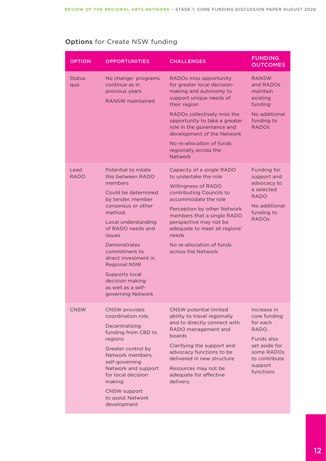# Options for Create NSW funding

| <b>OPTION</b>        | <b>OPPORTUNITIES</b>                                                                                                                                                                                                                                                                                                                                          | <b>CHALLENGES</b>                                                                                                                                                                                                                                                                                                              | <b>FUNDING</b><br><b>OUTCOMES</b>                                                                                                      |
|----------------------|---------------------------------------------------------------------------------------------------------------------------------------------------------------------------------------------------------------------------------------------------------------------------------------------------------------------------------------------------------------|--------------------------------------------------------------------------------------------------------------------------------------------------------------------------------------------------------------------------------------------------------------------------------------------------------------------------------|----------------------------------------------------------------------------------------------------------------------------------------|
| <b>Status</b><br>quo | No change- programs<br>continue as in<br>previous years<br><b>RANSW</b> maintained                                                                                                                                                                                                                                                                            | RADOs miss opportunity<br>for greater local decision-<br>making and autonomy to<br>support unique needs of<br>their region<br>RADOs collectively miss the<br>opportunity to take a greater<br>role in the governance and<br>development of the Network<br>No re-allocation of funds<br>regionally across the<br><b>Network</b> | <b>RANSW</b><br>and RADOs<br>maintain<br>existing<br>funding<br>No additional<br>funding to<br><b>RADOs</b>                            |
| Lead<br>RADO         | Potential to rotate<br>this between RADO<br>members<br>Could be determined<br>by tender, member<br>consensus or other<br>method.<br>Local understanding<br>of RADO needs and<br><i>issues</i><br>Demonstrates<br>commitment to<br>direct investment in<br><b>Regional NSW</b><br>Supports local<br>decision making<br>as well as a self-<br>governing Network | Capacity of a single RADO<br>to undertake the role<br><b>Willingness of RADO</b><br>contributing Councils to<br>accommodate the role<br>Perception by other Network<br>members that a single RADO<br>perspective may not be<br>adequate to meet all regions'<br>needs<br>No re-allocation of funds<br>across the Network       | Funding for<br>support and<br>advocacy to<br>a selected<br><b>RADO</b><br>No additional<br>funding to<br><b>RADOS</b>                  |
| <b>CNSW</b>          | CNSW provides<br>coordination role.<br>Decentralising<br>funding from CBD to<br>regions<br>Greater control by<br>Network members,<br>self-governing<br>Network and support<br>for local decision<br>making<br><b>CNSW</b> support<br>to assist Network<br>development                                                                                         | CNSW potential limited<br>ability to travel regionally<br>and to directly connect with<br>RADO management and<br>boards<br>Clarifying the support and<br>advocacy functions to be<br>delivered in new structure<br>Resources may not be<br>adequate for effective<br>delivery.                                                 | Increase in<br>core funding<br>for each<br>RADO.<br>Funds also<br>set aside for<br>some RADOs<br>to contribute<br>support<br>functions |